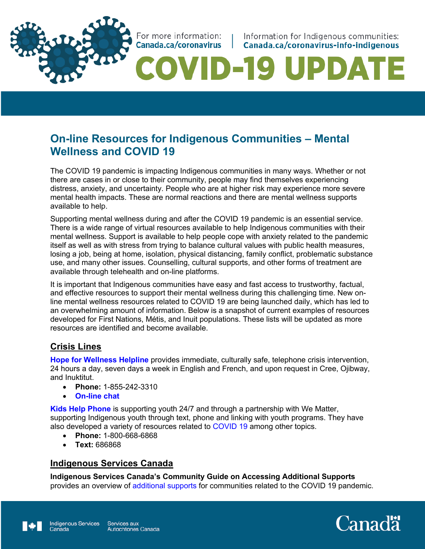For more information: Canada.ca/coronavirus |

Information for Indigenous communities: Canada.ca/coronavirus-info-indigenous

# OVID-19 UPDATE

## **On-line Resources for Indigenous Communities – Mental Wellness and COVID 19**

The COVID 19 pandemic is impacting Indigenous communities in many ways. Whether or not there are cases in or close to their community, people may find themselves experiencing distress, anxiety, and uncertainty. People who are at higher risk may experience more severe mental health impacts. These are normal reactions and there are mental wellness supports available to help.

Supporting mental wellness during and after the COVID 19 pandemic is an essential service. There is a wide range of virtual resources available to help Indigenous communities with their mental wellness. Support is available to help people cope with anxiety related to the pandemic itself as well as with stress from trying to balance cultural values with public health measures, losing a job, being at home, isolation, physical distancing, family conflict, problematic substance use, and many other issues. Counselling, cultural supports, and other forms of treatment are available through telehealth and on-line platforms.

It is important that Indigenous communities have easy and fast access to trustworthy, factual, and effective resources to support their mental wellness during this challenging time. New online mental wellness resources related to COVID 19 are being launched daily, which has led to an overwhelming amount of information. Below is a snapshot of current examples of resources developed for First Nations, Métis, and Inuit populations. These lists will be updated as more resources are identified and become available.

## **Crisis Lines**

**Hope for Wellness Helpline** provides immediate, culturally safe, telephone crisis intervention, 24 hours a day, seven days a week in English and French, and upon request in Cree, Ojibway, and Inuktitut.

- **Phone:** 1-855-242-3310
- **On-line chat**

**Kids Help Phone** is supporting youth 24/7 and through a partnership with We Matter, supporting Indigenous youth through text, phone and linking with youth programs. They have also developed a variety of resources related to COVID 19 among other topics.

- **Phone:** 1-800-668-6868
- **Text:** 686868

## **Indigenous Services Canada**

**Indigenous Services Canada's Community Guide on Accessing Additional Supports**  provides an overview of additional supports for communities related to the COVID 19 pandemic.

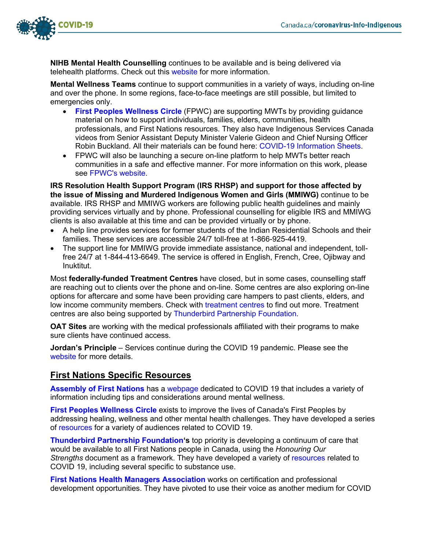

**NIHB Mental Health Counselling** continues to be available and is being delivered via telehealth platforms. Check out this website for more information.

**Mental Wellness Teams** continue to support communities in a variety of ways, including on-line and over the phone. In some regions, face-to-face meetings are still possible, but limited to emergencies only.

- **First Peoples Wellness Circle** (FPWC) are supporting MWTs by providing guidance material on how to support individuals, families, elders, communities, health professionals, and First Nations resources. They also have Indigenous Services Canada videos from Senior Assistant Deputy Minister Valerie Gideon and Chief Nursing Officer Robin Buckland. All their materials can be found here: COVID-19 Information Sheets.
- FPWC will also be launching a secure on-line platform to help MWTs better reach communities in a safe and effective manner. For more information on this work, please see FPWC's website.

**IRS Resolution Health Support Program (IRS RHSP) and support for those affected by the issue of Missing and Murdered Indigenous Women and Girls (MMIWG)** continue to be available. IRS RHSP and MMIWG workers are following public health guidelines and mainly providing services virtually and by phone. Professional counselling for eligible IRS and MMIWG clients is also available at this time and can be provided virtually or by phone.

- A help line provides services for former students of the Indian Residential Schools and their families. These services are accessible 24/7 toll-free at 1-866-925-4419.
- The support line for MMIWG provide immediate assistance, national and independent, tollfree 24/7 at 1-844-413-6649. The service is offered in English, French, Cree, Ojibway and Inuktitut.

Most **federally-funded Treatment Centres** have closed, but in some cases, counselling staff are reaching out to clients over the phone and on-line. Some centres are also exploring on-line options for aftercare and some have been providing care hampers to past clients, elders, and low income community members. Check with treatment centres to find out more. Treatment centres are also being supported by Thunderbird Partnership Foundation.

**OAT Sites** are working with the medical professionals affiliated with their programs to make sure clients have continued access.

**Jordan's Principle** – Services continue during the COVID 19 pandemic. Please see the website for more details.

## **First Nations Specific Resources**

**Assembly of First Nations** has a webpage dedicated to COVID 19 that includes a variety of information including tips and considerations around mental wellness.

**First Peoples Wellness Circle** exists to improve the lives of Canada's First Peoples by addressing healing, wellness and other mental health challenges. They have developed a series of resources for a variety of audiences related to COVID 19.

**Thunderbird Partnership Foundation's** top priority is developing a continuum of care that would be available to all First Nations people in Canada, using the *Honouring Our Strengths* document as a framework. They have developed a variety of resources related to COVID 19, including several specific to substance use.

**First Nations Health Managers Association** works on certification and professional development opportunities. They have pivoted to use their voice as another medium for COVID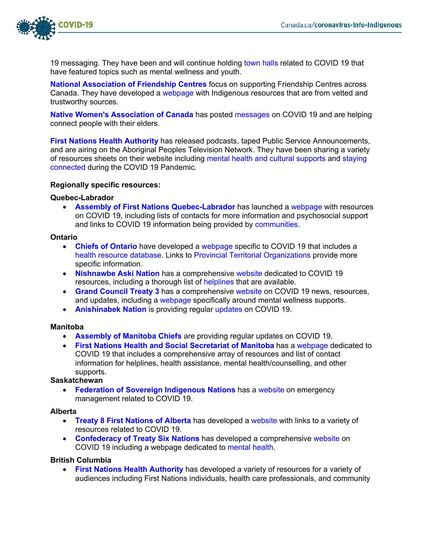

19 messaging. They have been and will continue holding town halls related to COVID 19 that have featured topics such as mental wellness and youth.

**National Association of Friendship Centres** focus on supporting Friendship Centres across Canada. They have developed a webpage with Indigenous resources that are from vetted and trustworthy sources.

**Native Women's Association of Canada** has posted messages on COVID 19 and are helping connect people with their elders.

**First Nations Health Authority** has released podcasts, taped Public Service Announcements, and are airing on the Aboriginal Peoples Television Network. They have been sharing a variety of resources sheets on their website including mental health and cultural supports and staying connected during the COVID 19 Pandemic.

#### **Regionally specific resources:**

#### **Quebec-Labrador**

• **Assembly of First Nations Quebec-Labrador** has launched a webpage with resources on COVID 19, including lists of contacts for more information and psychosocial support and links to COVID 19 information being provided by communities.

#### **Ontario**

- **Chiefs of Ontario** have developed a webpage specific to COVID 19 that includes a health resource database. Links to Provincial Territorial Organizations provide more specific information.
- **Nishnawbe Aski Nation** has a comprehensive website dedicated to COVID 19 resources, including a thorough list of helplines that are available.
- **Grand Council Treaty 3** has a comprehensive website on COVID 19 news, resources, and updates, including a webpage specifically around mental wellness supports.
- **Anishinabek Nation** is providing regular updates on COVID 19.

#### **Manitoba**

- **Assembly of Manitoba Chiefs** are providing regular updates on COVID 19.
- **First Nations Health and Social Secretariat of Manitoba** has a webpage dedicated to COVID 19 that includes a comprehensive array of resources and list of contact information for helplines, health assistance, mental health/counselling, and other supports.

#### **Saskatchewan**

**Federation of Sovereign Indigenous Nations** has a website on emergency management related to COVID 19.

#### **Alberta**

- **Treaty 8 First Nations of Alberta** has developed a website with links to a variety of resources related to COVID 19.
- **Confederacy of Treaty Six Nations** has developed a comprehensive website on COVID 19 including a webpage dedicated to mental health.

#### **British Columbia**

• **First Nations Health Authority** has developed a variety of resources for a variety of audiences including First Nations individuals, health care professionals, and community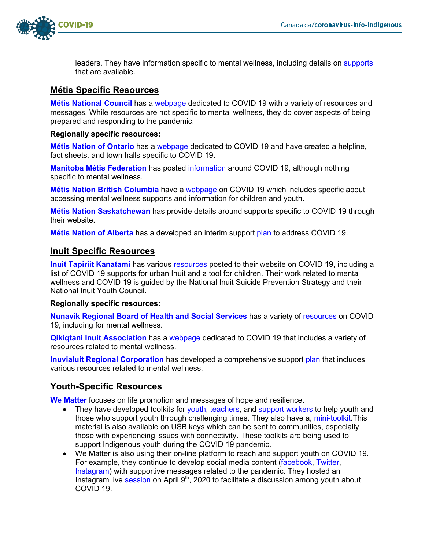

leaders. They have information specific to mental wellness, including details on supports that are available.

### **Métis Specific Resources**

**Métis National Council** has a webpage dedicated to COVID 19 with a variety of resources and messages. While resources are not specific to mental wellness, they do cover aspects of being prepared and responding to the pandemic.

**Regionally specific resources:**

**Métis Nation of Ontario** has a webpage dedicated to COVID 19 and have created a helpline, fact sheets, and town halls specific to COVID 19.

**Manitoba Métis Federation** has posted information around COVID 19, although nothing specific to mental wellness.

**Métis Nation British Columbia** have a webpage on COVID 19 which includes specific about accessing mental wellness supports and information for children and youth.

**Métis Nation Saskatchewan** has provide details around supports specific to COVID 19 through their website.

**Métis Nation of Alberta** has a developed an interim support plan to address COVID 19.

## **Inuit Specific Resources**

**Inuit Tapiriit Kanatami** has various resources posted to their website on COVID 19, including a list of COVID 19 supports for urban Inuit and a tool for children. Their work related to mental wellness and COVID 19 is guided by the National Inuit Suicide Prevention Strategy and their National Inuit Youth Council.

#### **Regionally specific resources:**

**Nunavik Regional Board of Health and Social Services** has a variety of resources on COVID 19, including for mental wellness.

**Qikiqtani Inuit Association** has a webpage dedicated to COVID 19 that includes a variety of resources related to mental wellness.

**Inuvialuit Regional Corporation** has developed a comprehensive support plan that includes various resources related to mental wellness.

## **Youth-Specific Resources**

**We Matter** focuses on life promotion and messages of hope and resilience.

- They have developed toolkits for youth, teachers, and support workers to help youth and those who support youth through challenging times. They also have a, mini-toolkit. This material is also available on USB keys which can be sent to communities, especially those with experiencing issues with connectivity. These toolkits are being used to support Indigenous youth during the COVID 19 pandemic.
- We Matter is also using their on-line platform to reach and support youth on COVID 19. For example, they continue to develop social media content (facebook, Twitter, Instagram) with supportive messages related to the pandemic. They hosted an Instagram live session on April 9<sup>th</sup>, 2020 to facilitate a discussion among youth about COVID 19.